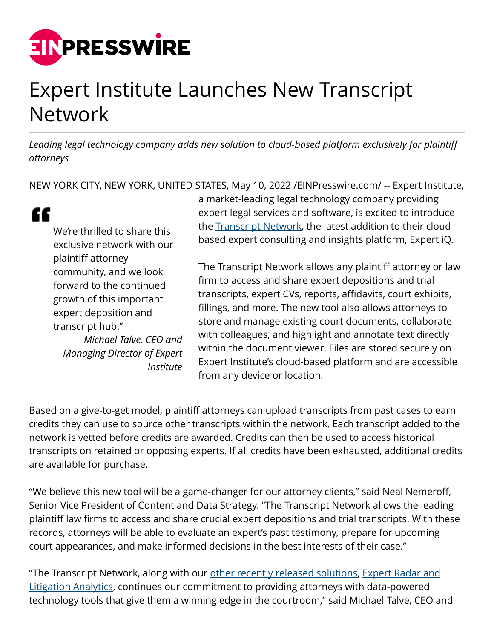

## Expert Institute Launches New Transcript Network

*Leading legal technology company adds new solution to cloud-based platform exclusively for plaintiff attorneys*

NEW YORK CITY, NEW YORK, UNITED STATES, May 10, 2022 [/EINPresswire.com/](http://www.einpresswire.com) -- Expert Institute,

## "

We're thrilled to share this exclusive network with our plaintiff attorney community, and we look forward to the continued growth of this important expert deposition and transcript hub." *Michael Talve, CEO and*

*Managing Director of Expert Institute* a market-leading legal technology company providing expert legal services and software, is excited to introduce the [Transcript Network,](https://www.expertinstitute.com/expert-iq/transcript-network/) the latest addition to their cloudbased expert consulting and insights platform, Expert iQ.

The Transcript Network allows any plaintiff attorney or law firm to access and share expert depositions and trial transcripts, expert CVs, reports, affidavits, court exhibits, fillings, and more. The new tool also allows attorneys to store and manage existing court documents, collaborate with colleagues, and highlight and annotate text directly within the document viewer. Files are stored securely on Expert Institute's cloud-based platform and are accessible from any device or location.

Based on a give-to-get model, plaintiff attorneys can upload transcripts from past cases to earn credits they can use to source other transcripts within the network. Each transcript added to the network is vetted before credits are awarded. Credits can then be used to access historical transcripts on retained or opposing experts. If all credits have been exhausted, additional credits are available for purchase.

"We believe this new tool will be a game-changer for our attorney clients," said Neal Nemeroff, Senior Vice President of Content and Data Strategy. "The Transcript Network allows the leading plaintiff law firms to access and share crucial expert depositions and trial transcripts. With these records, attorneys will be able to evaluate an expert's past testimony, prepare for upcoming court appearances, and make informed decisions in the best interests of their case."

"The Transcript Network, along with our [other recently released solutions](https://www.einnews.com/pr_news/564492429/expert-institute-adds-new-solutions-to-cloud-based-expert-iq-platform), [Expert Radar and](https://www.expertinstitute.com/expert-iq/expert-radar/) [Litigation Analytics](https://www.expertinstitute.com/expert-iq/expert-radar/), continues our commitment to providing attorneys with data-powered technology tools that give them a winning edge in the courtroom," said Michael Talve, CEO and